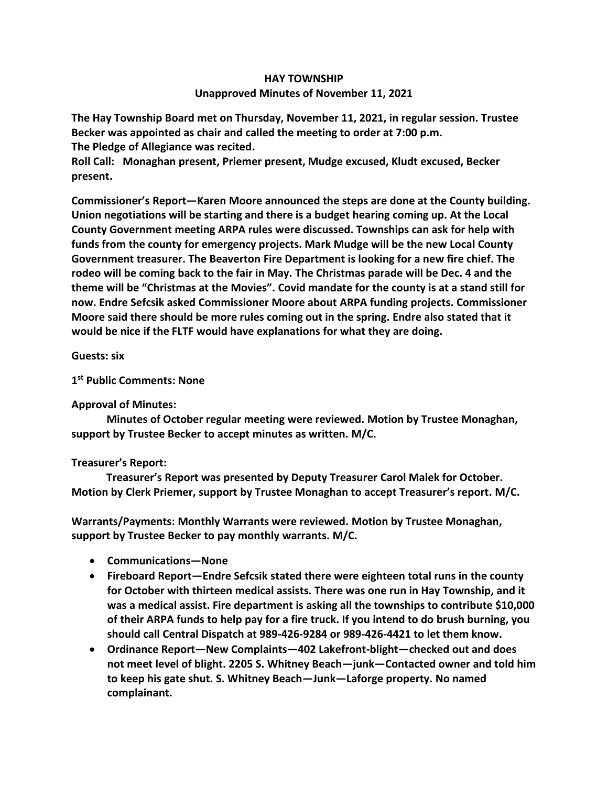## **HAY TOWNSHIP Unapproved Minutes of November 11, 2021**

**The Hay Township Board met on Thursday, November 11, 2021, in regular session. Trustee Becker was appointed as chair and called the meeting to order at 7:00 p.m. The Pledge of Allegiance was recited.** 

**Roll Call: Monaghan present, Priemer present, Mudge excused, Kludt excused, Becker present.**

**Commissioner's Report—Karen Moore announced the steps are done at the County building. Union negotiations will be starting and there is a budget hearing coming up. At the Local County Government meeting ARPA rules were discussed. Townships can ask for help with funds from the county for emergency projects. Mark Mudge will be the new Local County Government treasurer. The Beaverton Fire Department is looking for a new fire chief. The rodeo will be coming back to the fair in May. The Christmas parade will be Dec. 4 and the theme will be "Christmas at the Movies". Covid mandate for the county is at a stand still for now. Endre Sefcsik asked Commissioner Moore about ARPA funding projects. Commissioner Moore said there should be more rules coming out in the spring. Endre also stated that it would be nice if the FLTF would have explanations for what they are doing.**

**Guests: six**

**1 st Public Comments: None**

## **Approval of Minutes:**

 **Minutes of October regular meeting were reviewed. Motion by Trustee Monaghan, support by Trustee Becker to accept minutes as written. M/C.**

## **Treasurer's Report:**

 **Treasurer's Report was presented by Deputy Treasurer Carol Malek for October. Motion by Clerk Priemer, support by Trustee Monaghan to accept Treasurer's report. M/C.**

**Warrants/Payments: Monthly Warrants were reviewed. Motion by Trustee Monaghan, support by Trustee Becker to pay monthly warrants. M/C.**

- **Communications—None**
- **Fireboard Report—Endre Sefcsik stated there were eighteen total runs in the county for October with thirteen medical assists. There was one run in Hay Township, and it was a medical assist. Fire department is asking all the townships to contribute \$10,000 of their ARPA funds to help pay for a fire truck. If you intend to do brush burning, you should call Central Dispatch at 989-426-9284 or 989-426-4421 to let them know.**
- **Ordinance Report—New Complaints—402 Lakefront-blight—checked out and does not meet level of blight. 2205 S. Whitney Beach—junk—Contacted owner and told him to keep his gate shut. S. Whitney Beach—Junk—Laforge property. No named complainant.**